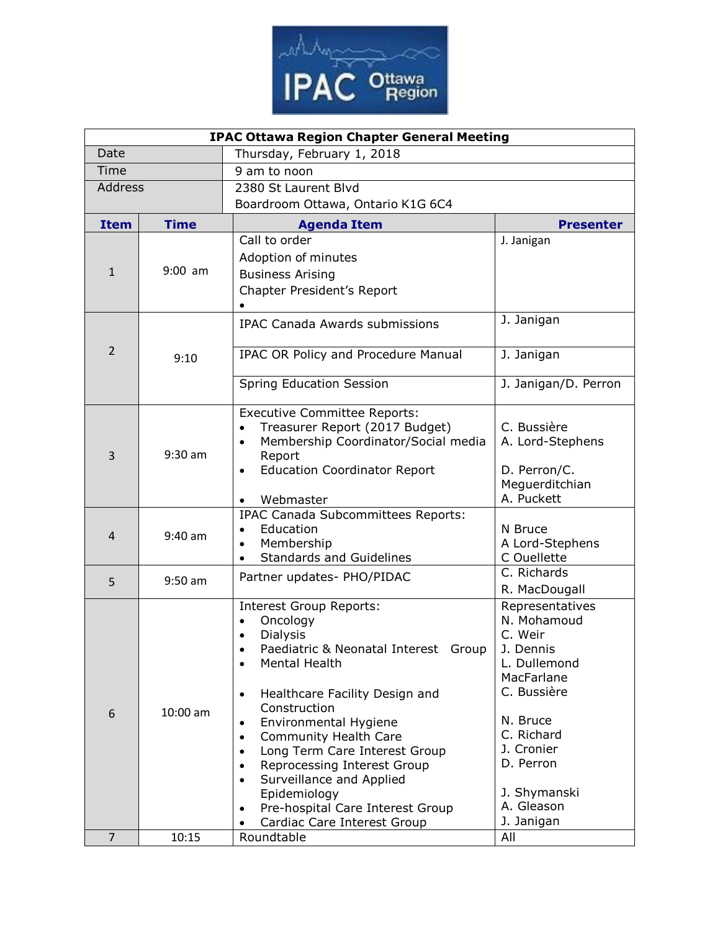

| <b>IPAC Ottawa Region Chapter General Meeting</b> |             |                                                                                                                                                                                                                                                                                                                                                                                                                                                                                                          |                                                                                                                                                                                        |  |  |
|---------------------------------------------------|-------------|----------------------------------------------------------------------------------------------------------------------------------------------------------------------------------------------------------------------------------------------------------------------------------------------------------------------------------------------------------------------------------------------------------------------------------------------------------------------------------------------------------|----------------------------------------------------------------------------------------------------------------------------------------------------------------------------------------|--|--|
| Date                                              |             | Thursday, February 1, 2018                                                                                                                                                                                                                                                                                                                                                                                                                                                                               |                                                                                                                                                                                        |  |  |
| Time                                              |             | 9 am to noon                                                                                                                                                                                                                                                                                                                                                                                                                                                                                             |                                                                                                                                                                                        |  |  |
| <b>Address</b>                                    |             | 2380 St Laurent Blvd                                                                                                                                                                                                                                                                                                                                                                                                                                                                                     |                                                                                                                                                                                        |  |  |
|                                                   |             | Boardroom Ottawa, Ontario K1G 6C4                                                                                                                                                                                                                                                                                                                                                                                                                                                                        |                                                                                                                                                                                        |  |  |
| <b>Item</b>                                       | <b>Time</b> | <b>Agenda Item</b>                                                                                                                                                                                                                                                                                                                                                                                                                                                                                       | <b>Presenter</b>                                                                                                                                                                       |  |  |
| $\mathbf{1}$                                      | $9:00$ am   | Call to order<br>Adoption of minutes<br><b>Business Arising</b><br>Chapter President's Report                                                                                                                                                                                                                                                                                                                                                                                                            | J. Janigan                                                                                                                                                                             |  |  |
| $\overline{2}$                                    |             | <b>IPAC Canada Awards submissions</b>                                                                                                                                                                                                                                                                                                                                                                                                                                                                    | J. Janigan                                                                                                                                                                             |  |  |
|                                                   | 9:10        | IPAC OR Policy and Procedure Manual                                                                                                                                                                                                                                                                                                                                                                                                                                                                      | J. Janigan                                                                                                                                                                             |  |  |
|                                                   |             | <b>Spring Education Session</b>                                                                                                                                                                                                                                                                                                                                                                                                                                                                          | J. Janigan/D. Perron                                                                                                                                                                   |  |  |
| 3                                                 | $9:30$ am   | <b>Executive Committee Reports:</b><br>Treasurer Report (2017 Budget)<br>Membership Coordinator/Social media<br>Report<br><b>Education Coordinator Report</b><br>$\bullet$<br>Webmaster<br>$\bullet$                                                                                                                                                                                                                                                                                                     | C. Bussière<br>A. Lord-Stephens<br>D. Perron/C.<br>Meguerditchian<br>A. Puckett                                                                                                        |  |  |
| 4                                                 | $9:40$ am   | IPAC Canada Subcommittees Reports:<br>Education<br>$\bullet$<br>Membership<br>$\bullet$<br><b>Standards and Guidelines</b><br>$\bullet$                                                                                                                                                                                                                                                                                                                                                                  | N Bruce<br>A Lord-Stephens<br>C Ouellette                                                                                                                                              |  |  |
| 5                                                 | $9:50$ am   | Partner updates- PHO/PIDAC                                                                                                                                                                                                                                                                                                                                                                                                                                                                               | C. Richards<br>R. MacDougall                                                                                                                                                           |  |  |
| 6                                                 | 10:00 am    | Interest Group Reports:<br>Oncology<br>$\bullet$<br><b>Dialysis</b><br>$\bullet$<br>Paediatric & Neonatal Interest<br>Group<br>$\bullet$<br>Mental Health<br>$\bullet$<br>Healthcare Facility Design and<br>$\bullet$<br>Construction<br>Environmental Hygiene<br>$\bullet$<br>Community Health Care<br>$\bullet$<br>Long Term Care Interest Group<br>$\bullet$<br>Reprocessing Interest Group<br>$\bullet$<br>Surveillance and Applied<br>$\bullet$<br>Epidemiology<br>Pre-hospital Care Interest Group | Representatives<br>N. Mohamoud<br>C. Weir<br>J. Dennis<br>L. Dullemond<br>MacFarlane<br>C. Bussière<br>N. Bruce<br>C. Richard<br>J. Cronier<br>D. Perron<br>J. Shymanski<br>A. Gleason |  |  |
| $\overline{7}$                                    | 10:15       | Cardiac Care Interest Group<br>Roundtable                                                                                                                                                                                                                                                                                                                                                                                                                                                                | J. Janigan<br>All                                                                                                                                                                      |  |  |